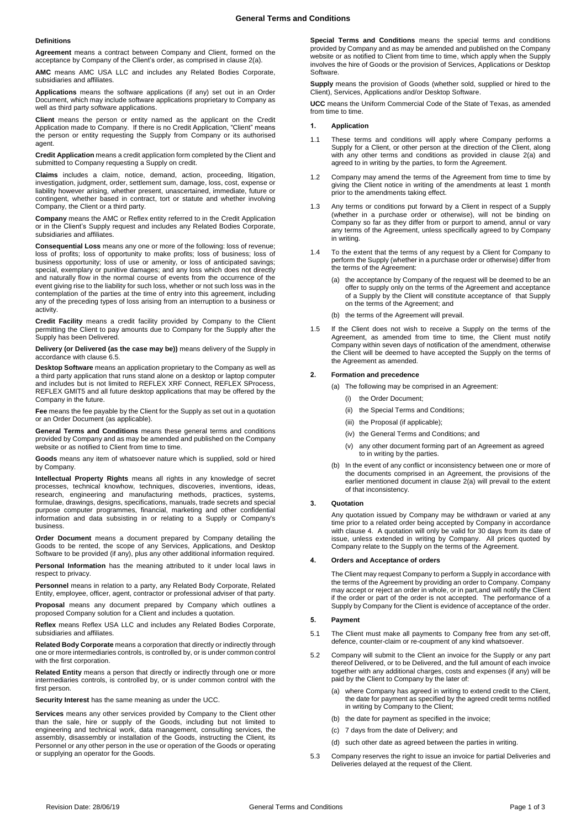## **Definitions**

**Agreement** means a contract between Company and Client, formed on the acceptance by Company of the Client's order, as comprised in claus[e 2\(a\).](#page-0-0)

**AMC** means AMC USA LLC and includes any Related Bodies Corporate, subsidiaries and affiliates.

**Applications** means the software applications (if any) set out in an Order Document, which may include software applications proprietary to Company as well as third party software applications.

**Client** means the person or entity named as the applicant on the Credit Application made to Company. If there is no Credit Application, "Client" means the person or entity requesting the Supply from Company or its authorised agent.

**Credit Application** means a credit application form completed by the Client and submitted to Company requesting a Supply on credit.

**Claims** includes a claim, notice, demand, action, proceeding, litigation, investigation, judgment, order, settlement sum, damage, loss, cost, expense or liability however arising, whether present, unascertained, immediate, future or contingent, whether based in contract, tort or statute and whether involving Company, the Client or a third party.

**Company** means the AMC or Reflex entity referred to in the Credit Application or in the Client's Supply request and includes any Related Bodies Corporate, subsidiaries and affiliates.

**Consequential Loss** means any one or more of the following: loss of revenue; loss of profits; loss of opportunity to make profits; loss of business; loss of business opportunity; loss of use or amenity, or loss of anticipated savings; special, exemplary or punitive damages; and any loss which does not directly and naturally flow in the normal course of events from the occurrence of the event giving rise to the liability for such loss, whether or not such loss was in the contemplation of the parties at the time of entry into this agreement, including any of the preceding types of loss arising from an interruption to a business or activity.

**Credit Facility** means a credit facility provided by Company to the Client permitting the Client to pay amounts due to Company for the Supply after the Supply has been Delivered.

**Delivery (or Delivered (as the case may be))** means delivery of the Supply in accordance with claus[e 6.5.](#page-1-0)

**Desktop Software** means an application proprietary to the Company as well as a third party application that runs stand alone on a desktop or laptop computer and includes but is not limited to REFLEX XRF Connect, REFLEX SProcess, REFLEX GMIT5 and all future desktop applications that may be offered by the Company in the future.

**Fee** means the fee payable by the Client for the Supply as set out in a quotation or an Order Document (as applicable).

**General Terms and Conditions** means these general terms and conditions provided by Company and as may be amended and published on the Company website or as notified to Client from time to time.

**Goods** means any item of whatsoever nature which is supplied, sold or hired by Company.

**Intellectual Property Rights** means all rights in any knowledge of secret processes, technical knowhow, techniques, discoveries, inventions, ideas, research, engineering and manufacturing methods, practices, systems, formulae, drawings, designs, specifications, manuals, trade secrets and special purpose computer programmes, financial, marketing and other confidential information and data subsisting in or relating to a Supply or Company's business.

**Order Document** means a document prepared by Company detailing the Goods to be rented, the scope of any Services, Applications, and Desktop Software to be provided (if any), plus any other additional information required.

**Personal Information** has the meaning attributed to it under local laws in respect to privacy.

**Personnel** means in relation to a party, any Related Body Corporate, Related Entity, employee, officer, agent, contractor or professional adviser of that party.

**Proposal** means any document prepared by Company which outlines a proposed Company solution for a Client and includes a quotation.

**Reflex** means Reflex USA LLC and includes any Related Bodies Corporate, subsidiaries and affiliates.

**Related Body Corporate** means a corporation that directly or indirectly through one or more intermediaries controls, is controlled by, or is under common control with the first corporation.

**Related Entity** means a person that directly or indirectly through one or more intermediaries controls, is controlled by, or is under common control with the first person.

**Security Interest** has the same meaning as under the UCC.

**Services** means any other services provided by Company to the Client other than the sale, hire or supply of the Goods, including but not limited to engineering and technical work, data management, consulting services, the assembly, disassembly or installation of the Goods, instructing the Client, its Personnel or any other person in the use or operation of the Goods or operating or supplying an operator for the Goods.

**Special Terms and Conditions** means the special terms and conditions provided by Company and as may be amended and published on the Company website or as notified to Client from time to time, which apply when the Supply involves the hire of Goods or the provision of Services, Applications or Desktop Software.

**Supply** means the provision of Goods (whether sold, supplied or hired to the Client), Services, Applications and/or Desktop Software.

**UCC** means the Uniform Commercial Code of the State of Texas, as amended from time to time.

### **1. Application**

- 1.1 These terms and conditions will apply where Company performs a Supply for a Client, or other person at the direction of the Client, along with any other terms and conditions as provided in clause 2(a) and agreed to in writing by the parties, to form the Agreement.
- 1.2 Company may amend the terms of the Agreement from time to time by giving the Client notice in writing of the amendments at least 1 month prior to the amendments taking effect.
- 1.3 Any terms or conditions put forward by a Client in respect of a Supply (whether in a purchase order or otherwise), will not be binding on Company so far as they differ from or purport to amend, annul or vary any terms of the Agreement, unless specifically agreed to by Company in writing.
- 1.4 To the extent that the terms of any request by a Client for Company to perform the Supply (whether in a purchase order or otherwise) differ from the terms of the Agreement:
	- (a) the acceptance by Company of the request will be deemed to be an offer to supply only on the terms of the Agreement and acceptance of a Supply by the Client will constitute acceptance of that Supply on the terms of the Agreement; and
	- (b) the terms of the Agreement will prevail.
- 1.5 If the Client does not wish to receive a Supply on the terms of the Agreement, as amended from time to time, the Client must notify Company within seven days of notification of the amendment, otherwise the Client will be deemed to have accepted the Supply on the terms of the Agreement as amended.

### <span id="page-0-0"></span>**2. Formation and precedence**

- (a) The following may be comprised in an Agreement:
	- (i) the Order Document;
	- (ii) the Special Terms and Conditions;
	- (iii) the Proposal (if applicable);
	- (iv) the General Terms and Conditions; and
	- (v) any other document forming part of an Agreement as agreed to in writing by the parties.
- (b) In the event of any conflict or inconsistency between one or more of the documents comprised in an Agreement, the provisions of the earlier mentioned document in clause [2\(a\)](#page-0-0) will prevail to the extent of that inconsistency.

### **3. Quotation**

Any quotation issued by Company may be withdrawn or varied at any time prior to a related order being accepted by Company in accordance with claus[e 4.](#page-0-1) A quotation will only be valid for 30 days from its date of issue, unless extended in writing by Company. All prices quoted by Company relate to the Supply on the terms of the Agreement.

## <span id="page-0-1"></span>**4. Orders and Acceptance of orders**

The Client may request Company to perform a Supply in accordance with the terms of the Agreement by providing an order to Company. Company may accept or reject an order in whole, or in part,and will notify the Client if the order or part of the order is not accepted. The performance of a Supply by Company for the Client is evidence of acceptance of the order.

## **5. Payment**

- 5.1 The Client must make all payments to Company free from any set-off, defence, counter-claim or re-coupment of any kind whatsoever.
- 5.2 Company will submit to the Client an invoice for the Supply or any part thereof Delivered, or to be Delivered, and the full amount of each invoice together with any additional charges, costs and expenses (if any) will be paid by the Client to Company by the later of:
	- (a) where Company has agreed in writing to extend credit to the Client, the date for payment as specified by the agreed credit terms notified in writing by Company to the Client;
	- (b) the date for payment as specified in the invoice;
	- (c) 7 days from the date of Delivery; and
	- (d) such other date as agreed between the parties in writing.
- 5.3 Company reserves the right to issue an invoice for partial Deliveries and Deliveries delayed at the request of the Client.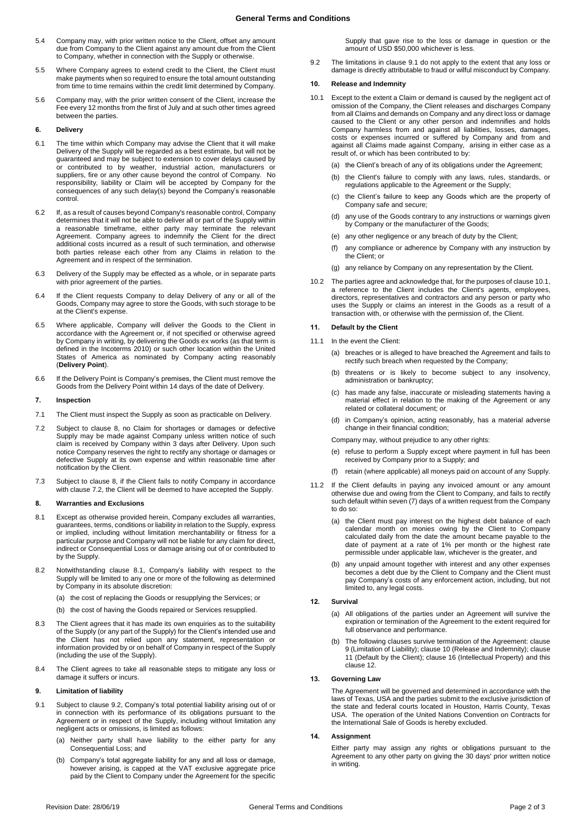- 5.4 Company may, with prior written notice to the Client, offset any amount due from Company to the Client against any amount due from the Client to Company, whether in connection with the Supply or otherwise.
- 5.5 Where Company agrees to extend credit to the Client, the Client must make payments when so required to ensure the total amount outstanding from time to time remains within the credit limit determined by Company.
- 5.6 Company may, with the prior written consent of the Client, increase the Fee every 12 months from the first of July and at such other times agreed between the parties.

# **6. Delivery**

- 6.1 The time within which Company may advise the Client that it will make Delivery of the Supply will be regarded as a best estimate, but will not be guaranteed and may be subject to extension to cover delays caused by or contributed to by weather, industrial action, manufacturers or suppliers, fire or any other cause beyond the control of Company. No responsibility, liability or Claim will be accepted by Company for the consequences of any such delay(s) beyond the Company's reasonable control.
- 6.2 If, as a result of causes beyond Company's reasonable control, Company determines that it will not be able to deliver all or part of the Supply within a reasonable timeframe, either party may terminate the relevant Agreement. Company agrees to indemnify the Client for the direct additional costs incurred as a result of such termination, and otherwise both parties release each other from any Claims in relation to the Agreement and in respect of the termination.
- 6.3 Delivery of the Supply may be effected as a whole, or in separate parts with prior agreement of the parties.
- 6.4 If the Client requests Company to delay Delivery of any or all of the Goods, Company may agree to store the Goods, with such storage to be at the Client's expense.
- <span id="page-1-0"></span>6.5 Where applicable, Company will deliver the Goods to the Client in accordance with the Agreement or, if not specified or otherwise agreed by Company in writing, by delivering the Goods ex works (as that term is defined in the Incoterms 2010) or such other location within the United States of America as nominated by Company acting reasonably (**Delivery Point**).
- 6.6 If the Delivery Point is Company's premises, the Client must remove the Goods from the Delivery Point within 14 days of the date of Delivery.

#### **7. Inspection**

- 7.1 The Client must inspect the Supply as soon as practicable on Delivery.
- <span id="page-1-2"></span>7.2 Subject to clause [8,](#page-1-1) no Claim for shortages or damages or defective Supply may be made against Company unless written notice of such claim is received by Company within 3 days after Delivery. Upon such notice Company reserves the right to rectify any shortage or damages or defective Supply at its own expense and within reasonable time after notification by the Client.
- 7.3 Subject to clause [8,](#page-1-1) if the Client fails to notify Company in accordance with clause [7.2,](#page-1-2) the Client will be deemed to have accepted the Supply.

#### <span id="page-1-1"></span>**8. Warranties and Exclusions**

- 8.1 Except as otherwise provided herein, Company excludes all warranties, guarantees, terms, conditions or liability in relation to the Supply, express or implied, including without limitation merchantability or fitness for a particular purpose and Company will not be liable for any claim for direct, indirect or Consequential Loss or damage arising out of or contributed to by the Supply.
- 8.2 Notwithstanding clause 8.1, Company's liability with respect to the Supply will be limited to any one or more of the following as determined by Company in its absolute discretion:
	- (a) the cost of replacing the Goods or resupplying the Services; or
	- (b) the cost of having the Goods repaired or Services resupplied.
- 8.3 The Client agrees that it has made its own enquiries as to the suitability of the Supply (or any part of the Supply) for the Client's intended use and the Client has not relied upon any statement, representation or information provided by or on behalf of Company in respect of the Supply (including the use of the Supply).
- 8.4 The Client agrees to take all reasonable steps to mitigate any loss or damage it suffers or incurs.

## <span id="page-1-6"></span>**9. Limitation of liability**

- <span id="page-1-4"></span>9.1 Subject to clause [9.2,](#page-1-3) Company's total potential liability arising out of or in connection with its performance of its obligations pursuant to the Agreement or in respect of the Supply, including without limitation any negligent acts or omissions, is limited as follows:
	- (a) Neither party shall have liability to the either party for any Consequential Loss; and
	- (b) Company's total aggregate liability for any and all loss or damage, however arising, is capped at the VAT exclusive aggregate price paid by the Client to Company under the Agreement for the specific

Supply that gave rise to the loss or damage in question or the amount of USD \$50,000 whichever is less.

<span id="page-1-3"></span>9.2 The limitations in clause [9.1](#page-1-4) do not apply to the extent that any loss or damage is directly attributable to fraud or wilful misconduct by Company.

### <span id="page-1-7"></span>**10. Release and Indemnity**

- <span id="page-1-5"></span>10.1 Except to the extent a Claim or demand is caused by the negligent act of omission of the Company, the Client releases and discharges Company from all Claims and demands on Company and any direct loss or damage caused to the Client or any other person and indemnifies and holds Company harmless from and against all liabilities, losses, damages, costs or expenses incurred or suffered by Company and from and against all Claims made against Company, arising in either case as a result of, or which has been contributed to by:
	- (a) the Client's breach of any of its obligations under the Agreement;
	- (b) the Client's failure to comply with any laws, rules, standards, or regulations applicable to the Agreement or the Supply;
	- (c) the Client's failure to keep any Goods which are the property of Company safe and secure;
	- (d) any use of the Goods contrary to any instructions or warnings given by Company or the manufacturer of the Goods;
	- (e) any other negligence or any breach of duty by the Client;
	- (f) any compliance or adherence by Company with any instruction by the Client; or
	- (g) any reliance by Company on any representation by the Client.
- 10.2 The parties agree and acknowledge that, for the purposes of claus[e 10.1,](#page-1-5)  a reference to the Client includes the Client's agents, employees, directors, representatives and contractors and any person or party who uses the Supply or claims an interest in the Goods as a result of a transaction with, or otherwise with the permission of, the Client.

# <span id="page-1-8"></span>**11. Default by the Client**

- 11.1 In the event the Client:
	- (a) breaches or is alleged to have breached the Agreement and fails to rectify such breach when requested by the Company;
	- (b) threatens or is likely to become subject to any insolvency, administration or bankruptcy;
	- (c) has made any false, inaccurate or misleading statements having a material effect in relation to the making of the Agreement or any related or collateral document; or
	- (d) in Company's opinion, acting reasonably, has a material adverse change in their financial condition;

Company may, without prejudice to any other rights:

- (e) refuse to perform a Supply except where payment in full has been received by Company prior to a Supply; and
- (f) retain (where applicable) all moneys paid on account of any Supply.
- 11.2 If the Client defaults in paying any invoiced amount or any amount otherwise due and owing from the Client to Company, and fails to rectify such default within seven (7) days of a written request from the Company to do so:
	- (a) the Client must pay interest on the highest debt balance of each calendar month on monies owing by the Client to Company calculated daily from the date the amount became payable to the date of payment at a rate of 1% per month or the highest rate permissible under applicable law, whichever is the greater, and
	- (b) any unpaid amount together with interest and any other expenses becomes a debt due by the Client to Company and the Client must pay Company's costs of any enforcement action, including, but not limited to, any legal costs.

# <span id="page-1-9"></span>**12. Survival**

- (a) All obligations of the parties under an Agreement will survive the expiration or termination of the Agreement to the extent required for full observance and performance.
- (b) The following clauses survive termination of the Agreement: clause [9](#page-1-6) (Limitation of Liability); clause [10](#page-1-7) (Release and Indemnity); clause [11](#page-1-8) (Default by the Client); clause 16 (Intellectual Property) and this claus[e 12.](#page-1-9)

## **13. Governing Law**

The Agreement will be governed and determined in accordance with the laws of Texas, USA and the parties submit to the exclusive jurisdiction of the state and federal courts located in Houston, Harris County, Texas USA. The operation of the United Nations Convention on Contracts for the International Sale of Goods is hereby excluded.

## **14. Assignment**

Either party may assign any rights or obligations pursuant to the Agreement to any other party on giving the 30 days' prior written notice in writing.